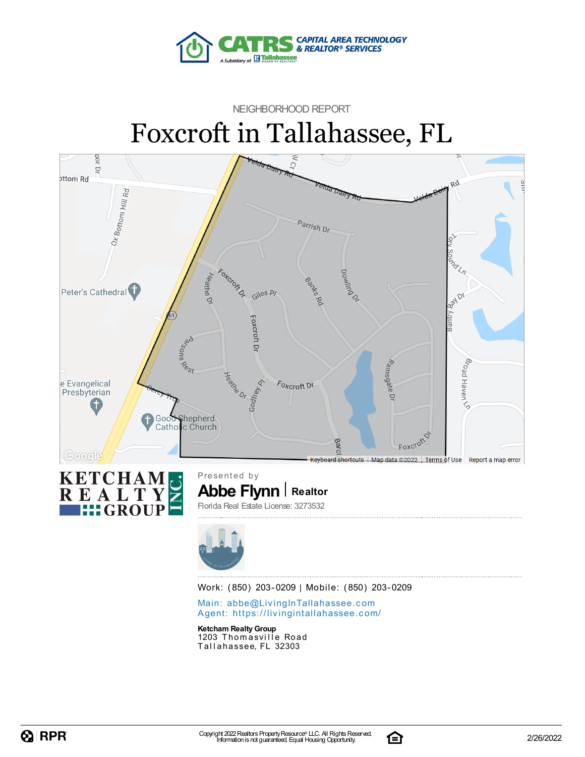

## NEIGHBORHOOD REPORT Foxcroft in Tallahassee, FL





Work: (850) 203-0209 | Mobile: (850) 203-0209

Main: abbe@LivingInTallaha[sse](mailto:abbe@LivingInTallahassee.com)e.com Agent: https://livingintallaha[sse](https://livingintallahassee.com/)e.com/

**Ketcham RealtyGroup** 1203 Thomasville Road Tallahassee, FL 32303

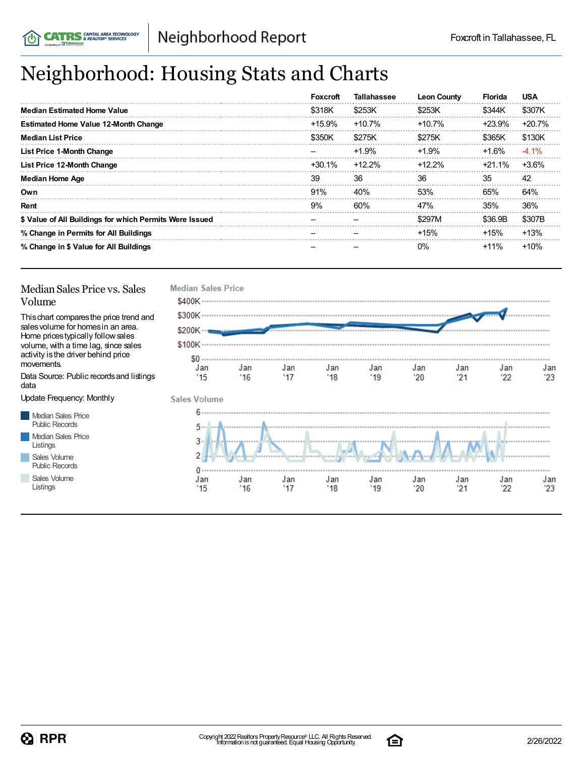## Neighborhood: Housing Stats and Charts

|                                                         | <b>Foxcroft</b> | <b>Tallahassee</b> | <b>Leon County</b> | <b>Florida</b> | <b>USA</b> |
|---------------------------------------------------------|-----------------|--------------------|--------------------|----------------|------------|
| <b>Median Estimated Home Value</b>                      | \$318K          | \$253K             | \$253K             | \$344K         | \$307K     |
| <b>Estimated Home Value 12-Month Change</b>             | $+15.9%$        | $+10.7%$           | $+10.7%$           | $+23.9%$       | $+20.7%$   |
| <b>Median List Price</b>                                | \$350K          | \$275K             | \$275K             | \$365K         | \$130K     |
| List Price 1-Month Change                               |                 | $+1.9%$            | $+1.9%$            | $+1.6%$        | $-4.1\%$   |
| List Price 12-Month Change                              | +30.1%          | $+12.2%$           | $+12.2\%$          | $+21.1\%$      | $+3.6%$    |
| <b>Median Home Age</b>                                  | 39              | 36                 | 36                 | 35             | 42         |
| Own                                                     | 91%             | 40%                | 53%                | 65%            | 64%        |
| Rent                                                    | 9%              | 60%                | 47%                | 35%            | 36%        |
| \$ Value of All Buildings for which Permits Were Issued |                 |                    | \$297M             | \$36.9B        | \$307B     |
| % Change in Permits for All Buildings                   |                 |                    | $+15%$             | $+15%$         | $+13%$     |
| % Change in \$ Value for All Buildings                  |                 |                    | $0\%$              | $+11%$         | $+10%$     |



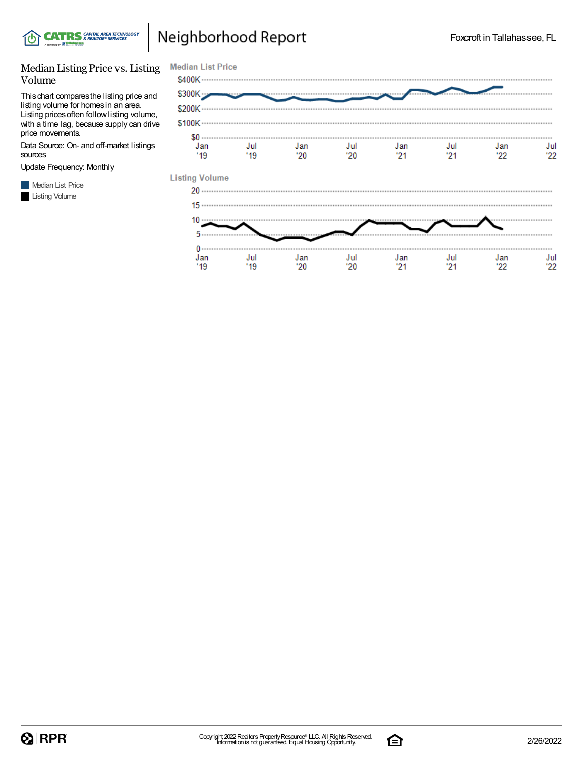

## Neighborhood Report

#### Median Listing Price vs. Listing Volume

Thischart comparesthe listing price and listing volume for homesin an area. Listing pricesoften followlisting volume, with a time lag, because supply can drive price movements.

Data Source: On- and off-market listings sources

Update Frequency: Monthly



| <b>Median List Price</b>  |             |            |            |             |            |            |            |
|---------------------------|-------------|------------|------------|-------------|------------|------------|------------|
| \$400K                    |             |            |            |             |            |            |            |
| \$300K                    |             |            |            |             |            |            |            |
| \$200K -                  |             |            |            |             |            |            |            |
| \$100K                    |             |            |            |             |            |            |            |
| $$0 \dots$<br>Jan<br>"19" | Jul<br>"19" | Jan<br>'20 | Jul<br>'20 | Jan<br>"21" | Jul<br>'21 | Jan<br>22' | Jul<br>22  |
| <b>Listing Volume</b>     |             |            |            |             |            |            |            |
|                           |             |            |            |             |            |            |            |
|                           |             |            |            |             |            |            |            |
| 10                        |             |            |            |             |            |            |            |
| 5                         |             |            |            |             |            |            |            |
| $0 \cdots$<br>Jan<br>'19  | Jul<br>"19" | Jan<br>'20 | Jul<br>'20 | Jan<br>"21" | Jul<br>21  | Jan<br>'22 | Jul<br>'22 |
|                           |             |            |            |             |            |            |            |

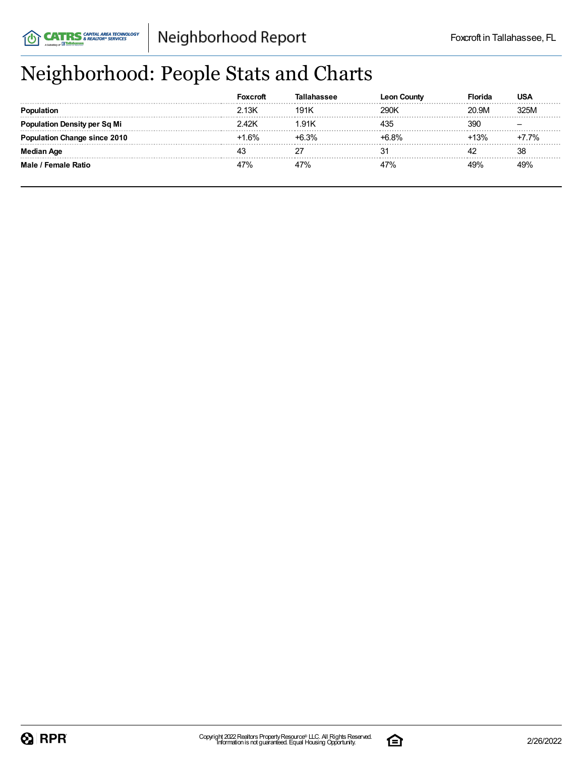## Neighborhood: People Stats and Charts

|                               | Foxcroft |      | ⊦Countv<br>Leon | Florida | USA     |
|-------------------------------|----------|------|-----------------|---------|---------|
|                               | 2.13K    | 191K | 290K            | 20.9M   | 325M    |
| tion Density per Sq Mi        | 42K      | .91K | 435             | 39C     |         |
| <b>tion Change since 2010</b> | $+1.6%$  | 6.3% | +6.8%           | 13%     | $+7.7%$ |
| <b>Median Age</b>             |          |      | 31              |         | 38      |
| Male / Female Ratio           |          |      | 47%             | 19%     | 49%     |

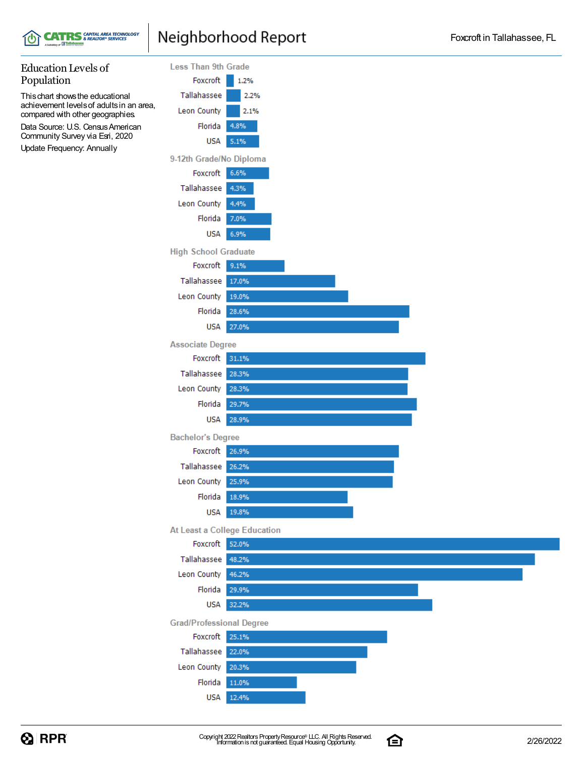

### Neighborhood Report

#### Education Levels of **Less Than 9th Grade** Population Foxcroft  $1.2%$ Thischart showsthe educational Tallahassee 2.2% achievement levelsof adultsin an area, Leon County 2.1% compared with other geographies. Florida 4.8% Data Source: U.S. Census American Community Survey via Esri, 2020 **USA**  $5.1%$ Update Frequency: Annually 9-12th Grade/No Diploma Foxcroft 6.6% Tallahassee 4.3% Leon County 4.4% Florida 7.0% **USA** 6.9% **High School Graduate** Foxcroft | 9.1% Tallahassee 17.0% Leon County 19.0% Florida 28.6% **USA** 27.0% **Associate Degree** Foxcroft 31.1% Tallahassee 28.3% Leon County 28.3% Florida 29.7% **USA** 28.9% **Bachelor's Degree** Foxcroft 26.9% Tallahassee 26.2% Leon County 25.9% Florida 18.9% **USA** 19.8% At Least a College Education Foxcroft 52.0% Tallahassee 48.2% Leon County 46.2% Florida 29.9% **USA** 32.2% **Grad/Professional Degree** Foxcroft 25.1% Tallahassee 22.0% Leon County 20.3% Florida 11.0% **USA** 12.4%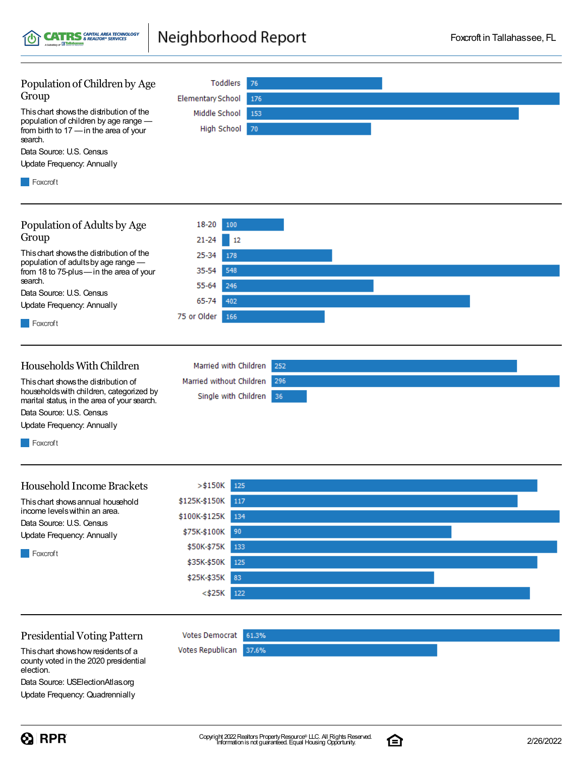Neighborhood Report **CATRS** CAPITAL AREA TECHNOLOGY

 $_{\rm \omega}$  R R

| Population of Children by Age                                                    | Toddlers<br>76                  |
|----------------------------------------------------------------------------------|---------------------------------|
| Group                                                                            | <b>Elementary School</b><br>176 |
| This chart shows the distribution of the                                         | Middle School<br>153            |
| population of children by age range -<br>from birth to 17 - in the area of your  | High School<br>70               |
| search.                                                                          |                                 |
| Data Source: U.S. Census                                                         |                                 |
| Update Frequency: Annually                                                       |                                 |
| Foxcroft                                                                         |                                 |
|                                                                                  |                                 |
| Population of Adults by Age                                                      | 18-20<br>100                    |
| Group                                                                            | $21 - 24$<br>12                 |
| This chart shows the distribution of the                                         | 25-34<br>178                    |
| population of adults by age range -<br>from 18 to 75-plus-in the area of your    | 548<br>35-54                    |
| search.                                                                          | 55-64<br>246                    |
| Data Source: U.S. Census                                                         | 65-74<br>402                    |
| Update Frequency: Annually                                                       |                                 |
| Foxcroft                                                                         | 75 or Older<br>166              |
|                                                                                  |                                 |
|                                                                                  |                                 |
| Households With Children                                                         | Married with Children<br>252    |
| This chart shows the distribution of<br>households with children, categorized by | 296<br>Married without Children |
| marital status, in the area of your search.                                      | Single with Children<br>36      |
| Data Source: U.S. Census                                                         |                                 |
| Update Frequency: Annually                                                       |                                 |
| Foxcroft                                                                         |                                 |
|                                                                                  |                                 |
| <b>Household Income Brackets</b>                                                 |                                 |
|                                                                                  | $>$ \$150K<br>125               |
| This chart shows annual household<br>income levels within an area.               | \$125K-\$150K<br>117            |
| Data Source: U.S. Census                                                         | \$100K-\$125K<br>134            |
| Update Frequency: Annually                                                       | 90<br>\$75K-\$100K              |
| Foxcroft                                                                         | \$50K-\$75K<br>133              |
|                                                                                  | \$35K-\$50K<br>125              |
|                                                                                  | \$25K-\$35K<br>83               |
|                                                                                  | $<$ \$25 $K$<br>122             |
|                                                                                  |                                 |
| <b>Presidential Voting Pattern</b>                                               | <b>Votes Democrat</b><br>61.3%  |
| This chart shows how residents of a                                              | Votes Republican<br>37.6%       |
| county voted in the 2020 presidential<br>election.                               |                                 |
| Data Source: USElectionAtlas.org                                                 |                                 |



Update Frequency: Quadrennially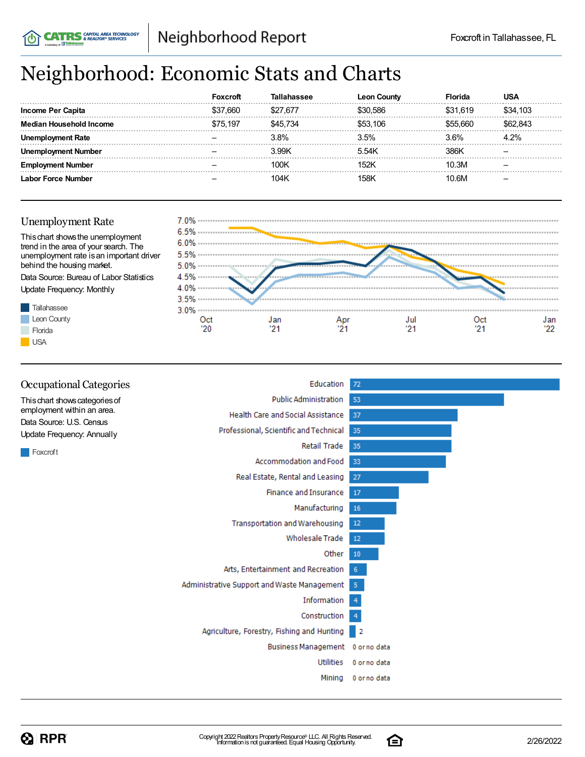# Neighborhood: Economic Stats and Charts

|                          | Foxcroft |          | <b>Leon County</b> | Florida  |          |
|--------------------------|----------|----------|--------------------|----------|----------|
| <b>Income Per Capita</b> | \$37.660 | \$27.677 | \$30.586           | \$31.619 | \$34.103 |
| Household Income         | \$75.197 | S45 734  | \$53 106           | 555 660  | 843      |
| ployment Rate            |          | 3.8%     | 3.5%               | 3.6%     | 4.2%     |
| ment Number              |          | 3.99K    | 5.54K              | 386K     |          |
| nent Number              |          | 100K     | 152K               | 10.3M    |          |
| Labor Force Number       |          | 104K     | 158K               | 10.6M    |          |

### Unemployment Rate

**CATRS** SAPITAL AREA TECHNOLOGY



| <b>Occupational Categories</b>                                                                                                            | Education                                   | 72             |
|-------------------------------------------------------------------------------------------------------------------------------------------|---------------------------------------------|----------------|
| This chart shows categories of<br>employment within an area.<br>Data Source: U.S. Census<br><b>Update Frequency: Annually</b><br>Foxcroft | <b>Public Administration</b>                | 53             |
|                                                                                                                                           | Health Care and Social Assistance           | 37             |
|                                                                                                                                           | Professional, Scientific and Technical      | -35            |
|                                                                                                                                           | Retail Trade                                | 35             |
|                                                                                                                                           | Accommodation and Food                      | 33             |
|                                                                                                                                           | Real Estate, Rental and Leasing             | 27             |
|                                                                                                                                           | <b>Finance and Insurance</b>                | 17             |
|                                                                                                                                           | Manufacturing                               | 16             |
|                                                                                                                                           | <b>Transportation and Warehousing</b>       | 12             |
|                                                                                                                                           | <b>Wholesale Trade</b>                      | 12             |
|                                                                                                                                           | Other                                       | 10             |
|                                                                                                                                           | Arts, Entertainment and Recreation          | -6             |
|                                                                                                                                           | Administrative Support and Waste Management | -5             |
|                                                                                                                                           | Information                                 | 4              |
|                                                                                                                                           | Construction                                | $\overline{4}$ |
|                                                                                                                                           | Agriculture, Forestry, Fishing and Hunting  | 2              |
|                                                                                                                                           | Business Management 0 or no data            |                |
|                                                                                                                                           | <b>Utilities</b>                            | 0 or no data   |
|                                                                                                                                           | Mining                                      | 0 or no data   |
|                                                                                                                                           |                                             |                |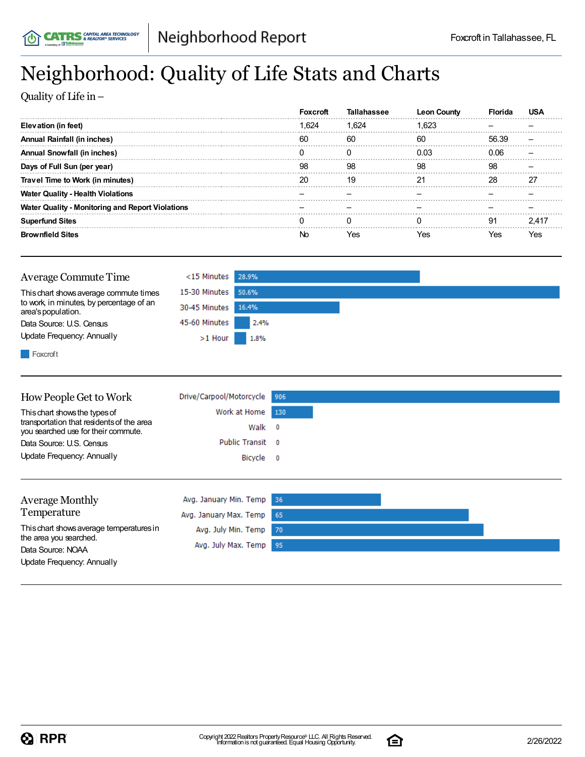## Neighborhood: Quality of Life Stats and Charts

Quality of Life in–

|                                                         |       | Tallahassee | <b>Leon County</b> |       |  |
|---------------------------------------------------------|-------|-------------|--------------------|-------|--|
| Elevation (in feet)                                     | 1.624 | 1.624       | 1.623              |       |  |
| Annual Rainfall (in inches)                             | 60    | 60          | 60                 | 56.39 |  |
| <b>Annual Snowfall (in inches)</b>                      |       |             | 0 03               | 0 OG  |  |
| Days of Full Sun (per year)                             | 98    | 98          | 98                 | 98    |  |
| Travel Time to Work (in minutes)                        | 20    | 19          | 21                 | 28    |  |
| Water Quality - Health Violations                       |       |             |                    |       |  |
| <b>Water Quality - Monitoring and Report Violations</b> |       |             |                    |       |  |
| <b>Superfund Sites</b>                                  |       |             |                    | 91    |  |
| Sites                                                   | ۱r    |             | 'es                | es?   |  |

| Average Commute Time                                           | <15 Minutes 28.9%   |      |  |  |
|----------------------------------------------------------------|---------------------|------|--|--|
| This chart shows average commute times                         | 15-30 Minutes 50.6% |      |  |  |
| to work, in minutes, by percentage of an<br>area's population. | 30-45 Minutes 16.4% |      |  |  |
| Data Source: U.S. Census                                       | 45-60 Minutes       | 2.4% |  |  |
| Update Frequency: Annually                                     | $>1$ Hour           | 1.8% |  |  |
| Foxcroft                                                       |                     |      |  |  |

| How People Get to Work                                                           | Drive/Carpool/Motorcycle | 906                      |
|----------------------------------------------------------------------------------|--------------------------|--------------------------|
| This chart shows the types of                                                    | Work at Home             | 130                      |
| transportation that residents of the area<br>you searched use for their commute. | Walk                     | $\overline{\phantom{0}}$ |
| Data Source: U.S. Census                                                         | Public Transit 0         |                          |
| Update Frequency: Annually                                                       | Bicycle 0                |                          |
|                                                                                  |                          |                          |
| <b>Average Monthly</b>                                                           | Avg. January Min. Temp   | 36                       |
| Temperature                                                                      | Avg. January Max. Temp   | 65                       |
| This chart shows average temperatures in<br>the area you searched.               | Avg. July Min. Temp      | 70                       |
| Data Source: NOAA                                                                | Avg. July Max. Temp      | 95                       |

Update Frequency: Annually

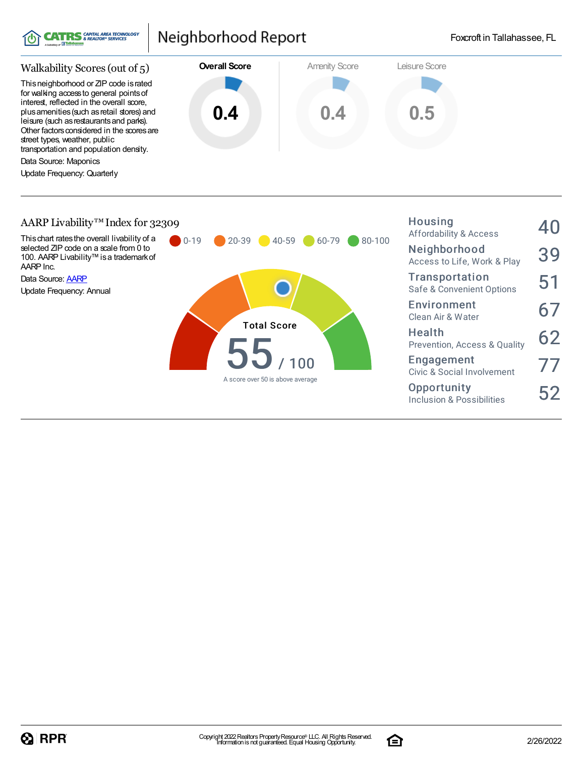

### Neighborhood Report

Housing



#### AARP Livability™Index for 32309